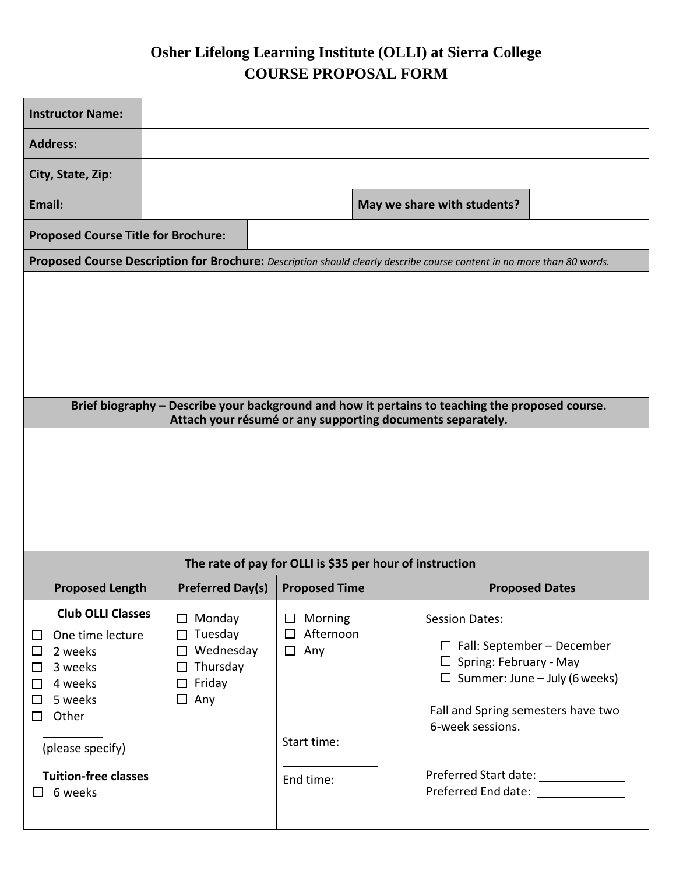## **Osher Lifelong Learning Institute (OLLI) at Sierra College COURSE PROPOSAL FORM**

| <b>Instructor Name:</b>                                                                                                                                                |                                                                                                       |                                                                    |                                                                                                                                                                                               |  |  |
|------------------------------------------------------------------------------------------------------------------------------------------------------------------------|-------------------------------------------------------------------------------------------------------|--------------------------------------------------------------------|-----------------------------------------------------------------------------------------------------------------------------------------------------------------------------------------------|--|--|
| <b>Address:</b>                                                                                                                                                        |                                                                                                       |                                                                    |                                                                                                                                                                                               |  |  |
| City, State, Zip:                                                                                                                                                      |                                                                                                       |                                                                    |                                                                                                                                                                                               |  |  |
| Email:                                                                                                                                                                 |                                                                                                       |                                                                    | May we share with students?                                                                                                                                                                   |  |  |
| <b>Proposed Course Title for Brochure:</b>                                                                                                                             |                                                                                                       |                                                                    |                                                                                                                                                                                               |  |  |
| Proposed Course Description for Brochure: Description should clearly describe course content in no more than 80 words.                                                 |                                                                                                       |                                                                    |                                                                                                                                                                                               |  |  |
|                                                                                                                                                                        |                                                                                                       |                                                                    |                                                                                                                                                                                               |  |  |
|                                                                                                                                                                        |                                                                                                       |                                                                    |                                                                                                                                                                                               |  |  |
| Brief biography - Describe your background and how it pertains to teaching the proposed course.<br>Attach your résumé or any supporting documents separately.          |                                                                                                       |                                                                    |                                                                                                                                                                                               |  |  |
|                                                                                                                                                                        |                                                                                                       |                                                                    |                                                                                                                                                                                               |  |  |
| The rate of pay for OLLI is \$35 per hour of instruction                                                                                                               |                                                                                                       |                                                                    |                                                                                                                                                                                               |  |  |
| <b>Proposed Length</b>                                                                                                                                                 | <b>Preferred Day(s)</b>                                                                               | <b>Proposed Time</b>                                               | <b>Proposed Dates</b>                                                                                                                                                                         |  |  |
| <b>Club OLLI Classes</b><br>$\Box$ One time lecture<br>2 weeks<br>$\Box$<br>3 weeks<br>□<br>4 weeks<br>$\Box$<br>$\Box$ 5 weeks<br>Other<br>$\Box$<br>(please specify) | $\Box$ Monday<br>$\Box$ Tuesday<br>$\Box$ Wednesday<br>$\Box$ Thursday<br>$\Box$ Friday<br>$\Box$ Any | $\Box$ Morning<br>Afternoon<br>$\Box$<br>$\Box$ Any<br>Start time: | <b>Session Dates:</b><br>$\Box$ Fall: September - December<br>$\Box$ Spring: February - May<br>$\Box$ Summer: June - July (6 weeks)<br>Fall and Spring semesters have two<br>6-week sessions. |  |  |
| <b>Tuition-free classes</b><br>6 weeks<br>$\Box$                                                                                                                       |                                                                                                       | End time:                                                          | Preferred Start date: _______________<br>Preferred End date: ______________                                                                                                                   |  |  |